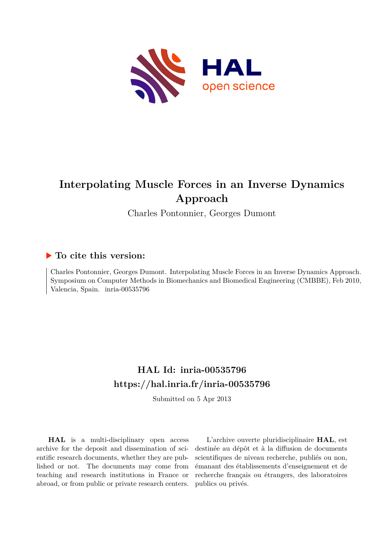

# **Interpolating Muscle Forces in an Inverse Dynamics Approach**

Charles Pontonnier, Georges Dumont

# **To cite this version:**

Charles Pontonnier, Georges Dumont. Interpolating Muscle Forces in an Inverse Dynamics Approach. Symposium on Computer Methods in Biomechanics and Biomedical Engineering (CMBBE), Feb 2010, Valencia, Spain. inria-00535796

# **HAL Id: inria-00535796 <https://hal.inria.fr/inria-00535796>**

Submitted on 5 Apr 2013

**HAL** is a multi-disciplinary open access archive for the deposit and dissemination of scientific research documents, whether they are published or not. The documents may come from teaching and research institutions in France or abroad, or from public or private research centers.

L'archive ouverte pluridisciplinaire **HAL**, est destinée au dépôt et à la diffusion de documents scientifiques de niveau recherche, publiés ou non, émanant des établissements d'enseignement et de recherche français ou étrangers, des laboratoires publics ou privés.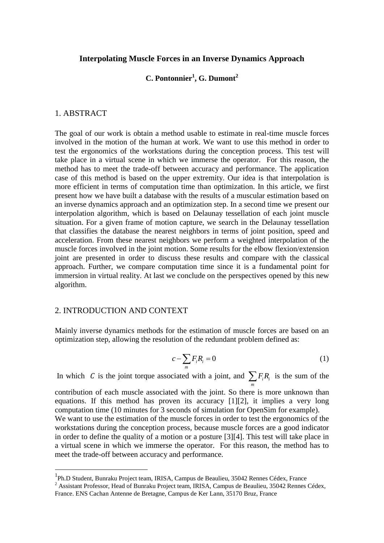#### **Interpolating Muscle Forces in an Inverse Dynamics Approach**

# **C. Pontonnier<sup>1</sup> , G. Dumont<sup>2</sup>**

#### 1. ABSTRACT

<u>.</u>

The goal of our work is obtain a method usable to estimate in real-time muscle forces involved in the motion of the human at work. We want to use this method in order to test the ergonomics of the workstations during the conception process. This test will take place in a virtual scene in which we immerse the operator. For this reason, the method has to meet the trade-off between accuracy and performance. The application case of this method is based on the upper extremity. Our idea is that interpolation is more efficient in terms of computation time than optimization. In this article, we first present how we have built a database with the results of a muscular estimation based on an inverse dynamics approach and an optimization step. In a second time we present our interpolation algorithm, which is based on Delaunay tessellation of each joint muscle situation. For a given frame of motion capture, we search in the Delaunay tessellation that classifies the database the nearest neighbors in terms of joint position, speed and acceleration. From these nearest neighbors we perform a weighted interpolation of the muscle forces involved in the joint motion. Some results for the elbow flexion/extension joint are presented in order to discuss these results and compare with the classical approach. Further, we compare computation time since it is a fundamental point for immersion in virtual reality. At last we conclude on the perspectives opened by this new algorithm.

#### 2. INTRODUCTION AND CONTEXT

Mainly inverse dynamics methods for the estimation of muscle forces are based on an optimization step, allowing the resolution of the redundant problem defined as:

$$
c - \sum_{m} F_i R_i = 0 \tag{1}
$$

In which C is the joint torque associated with a joint, and  $\sum F_i R_i$  $\sum_{m} F_i R_i$  is the sum of the contribution of each muscle associated with the joint. So there is more unknown than equations. If this method has proven its accuracy [1][2], it implies a very long computation time (10 minutes for 3 seconds of simulation for OpenSim for example). We want to use the estimation of the muscle forces in order to test the ergonomics of the workstations during the conception process, because muscle forces are a good indicator in order to define the quality of a motion or a posture [3][4]. This test will take place in a virtual scene in which we immerse the operator. For this reason, the method has to meet the trade-off between accuracy and performance.

<sup>&</sup>lt;sup>1</sup>Ph.D Student, Bunraku Project team, IRISA, Campus de Beaulieu, 35042 Rennes Cédex, France

<sup>&</sup>lt;sup>2</sup> Assistant Professor, Head of Bunraku Project team, IRISA, Campus de Beaulieu, 35042 Rennes Cédex, France. ENS Cachan Antenne de Bretagne, Campus de Ker Lann, 35170 Bruz, France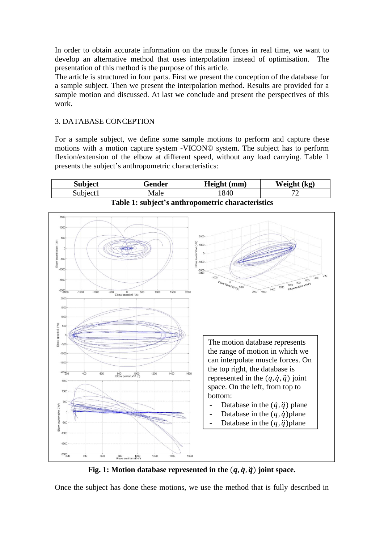In order to obtain accurate information on the muscle forces in real time, we want to develop an alternative method that uses interpolation instead of optimisation. The presentation of this method is the purpose of this article.

The article is structured in four parts. First we present the conception of the database for a sample subject. Then we present the interpolation method. Results are provided for a sample motion and discussed. At last we conclude and present the perspectives of this work.

# 3. DATABASE CONCEPTION

For a sample subject, we define some sample motions to perform and capture these motions with a motion capture system -VICON© system. The subject has to perform flexion/extension of the elbow at different speed, without any load carrying. Table 1 presents the subject's anthropometric characteristics:



Fig. 1: Motion database represented in the  $(q, \dot{q}, \ddot{q})$  joint space.

Once the subject has done these motions, we use the method that is fully described in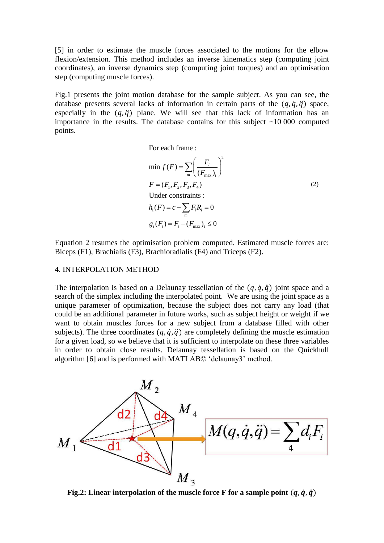[5] in order to estimate the muscle forces associated to the motions for the elbow flexion/extension. This method includes an inverse kinematics step (computing joint coordinates), an inverse dynamics step (computing joint torques) and an optimisation step (computing muscle forces).

Fig.1 presents the joint motion database for the sample subject. As you can see, the database presents several lacks of information in certain parts of the  $(q, \dot{q}, \ddot{q})$  space, especially in the  $(q, \ddot{q})$  plane. We will see that this lack of information has an importance in the results. The database contains for this subject  $\sim$  10 000 computed points.

For each frame :

$$
\min f(F) = \sum_{m} \left(\frac{F_i}{(F_{\text{max}})_i}\right)^2
$$
  
\n
$$
F = (F_1, F_2, F_3, F_4)
$$
  
\nUnder constraints :  
\n
$$
h_1(F) = c - \sum_{m} F_i R_i = 0
$$
  
\n
$$
g_i(F_i) = F_i - (F_{\text{max}})_i \le 0
$$

Equation 2 resumes the optimisation problem computed. Estimated muscle forces are: Biceps (F1), Brachialis (F3), Brachioradialis (F4) and Triceps (F2).

#### 4. INTERPOLATION METHOD

The interpolation is based on a Delaunay tessellation of the  $(q, \dot{q}, \ddot{q})$  joint space and a search of the simplex including the interpolated point. We are using the joint space as a unique parameter of optimization, because the subject does not carry any load (that could be an additional parameter in future works, such as subject height or weight if we want to obtain muscles forces for a new subject from a database filled with other subjects). The three coordinates  $(q, \dot{q}, \ddot{q})$  are completely defining the muscle estimation for a given load, so we believe that it is sufficient to interpolate on these three variables in order to obtain close results. Delaunay tessellation is based on the Quickhull algorithm [6] and is performed with MATLAB© 'delaunay3' method.



**Fig.2:** Linear interpolation of the muscle force F for a sample point  $(q, \dot{q}, \ddot{q})$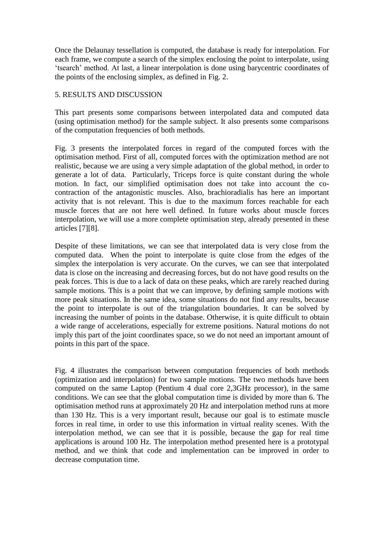Once the Delaunay tessellation is computed, the database is ready for interpolation. For each frame, we compute a search of the simplex enclosing the point to interpolate, using 'tsearch' method. At last, a linear interpolation is done using barycentric coordinates of the points of the enclosing simplex, as defined in Fig. 2.

### 5. RESULTS AND DISCUSSION

This part presents some comparisons between interpolated data and computed data (using optimisation method) for the sample subject. It also presents some comparisons of the computation frequencies of both methods.

Fig. 3 presents the interpolated forces in regard of the computed forces with the optimisation method. First of all, computed forces with the optimization method are not realistic, because we are using a very simple adaptation of the global method, in order to generate a lot of data. Particularly, Triceps force is quite constant during the whole motion. In fact, our simplified optimisation does not take into account the cocontraction of the antagonistic muscles. Also, brachioradialis has here an important activity that is not relevant. This is due to the maximum forces reachable for each muscle forces that are not here well defined. In future works about muscle forces interpolation, we will use a more complete optimisation step, already presented in these articles [7][8].

Despite of these limitations, we can see that interpolated data is very close from the computed data. When the point to interpolate is quite close from the edges of the simplex the interpolation is very accurate. On the curves, we can see that interpolated data is close on the increasing and decreasing forces, but do not have good results on the peak forces. This is due to a lack of data on these peaks, which are rarely reached during sample motions. This is a point that we can improve, by defining sample motions with more peak situations. In the same idea, some situations do not find any results, because the point to interpolate is out of the triangulation boundaries. It can be solved by increasing the number of points in the database. Otherwise, it is quite difficult to obtain a wide range of accelerations, especially for extreme positions. Natural motions do not imply this part of the joint coordinates space, so we do not need an important amount of points in this part of the space.

Fig. 4 illustrates the comparison between computation frequencies of both methods (optimization and interpolation) for two sample motions. The two methods have been computed on the same Laptop (Pentium 4 dual core 2,3GHz processor), in the same conditions. We can see that the global computation time is divided by more than 6. The optimisation method runs at approximately 20 Hz and interpolation method runs at more than 130 Hz. This is a very important result, because our goal is to estimate muscle forces in real time, in order to use this information in virtual reality scenes. With the interpolation method, we can see that it is possible, because the gap for real time applications is around 100 Hz. The interpolation method presented here is a prototypal method, and we think that code and implementation can be improved in order to decrease computation time.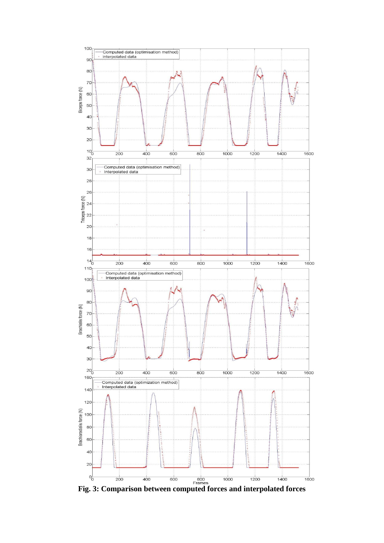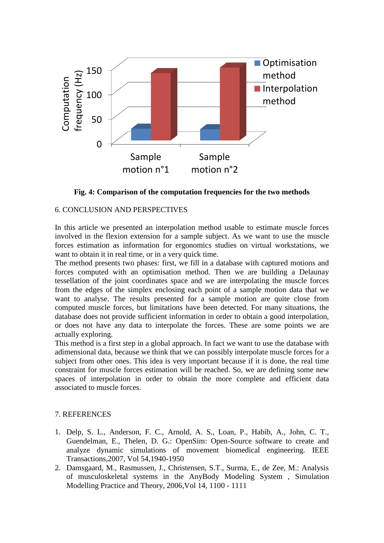

**Fig. 4: Comparison of the computation frequencies for the two methods**

# 6. CONCLUSION AND PERSPECTIVES

In this article we presented an interpolation method usable to estimate muscle forces involved in the flexion extension for a sample subject. As we want to use the muscle forces estimation as information for ergonomics studies on virtual workstations, we want to obtain it in real time, or in a very quick time.

The method presents two phases: first, we fill in a database with captured motions and forces computed with an optimisation method. Then we are building a Delaunay tessellation of the joint coordinates space and we are interpolating the muscle forces from the edges of the simplex enclosing each point of a sample motion data that we want to analyse. The results presented for a sample motion are quite close from computed muscle forces, but limitations have been detected. For many situations, the database does not provide sufficient information in order to obtain a good interpolation, or does not have any data to interpolate the forces. These are some points we are actually exploring.

This method is a first step in a global approach. In fact we want to use the database with adimensional data, because we think that we can possibly interpolate muscle forces for a subject from other ones. This idea is very important because if it is done, the real time constraint for muscle forces estimation will be reached. So, we are defining some new spaces of interpolation in order to obtain the more complete and efficient data associated to muscle forces.

# 7. REFERENCES

- 1. Delp, S. L., Anderson, F. C., Arnold, A. S., Loan, P., Habib, A., John, C. T., Guendelman, E., Thelen, D. G.: OpenSim: Open-Source software to create and analyze dynamic simulations of movement biomedical engineering. IEEE Transactions,2007, Vol 54,1940-1950
- 2. Damsgaard, M., Rasmussen, J., Christensen, S.T., Surma, E., de Zee, M.: Analysis of musculoskeletal systems in the AnyBody Modeling System , Simulation Modelling Practice and Theory*,* 2006,Vol 14, 1100 - 1111